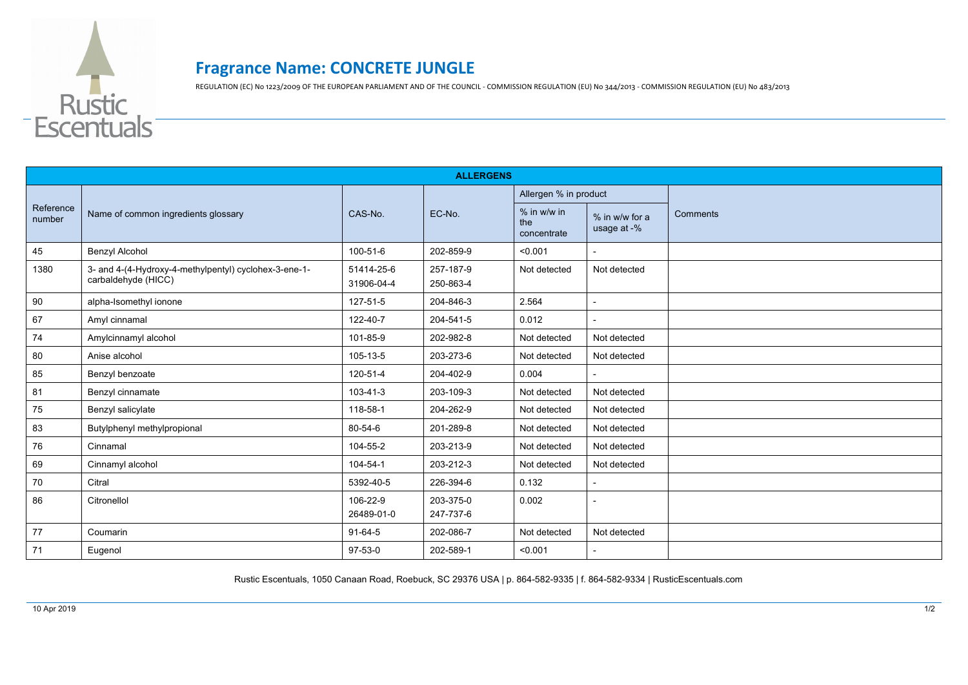

## **Fragrance Name: CONCRETE JUNGLE**

REGULATION (EC) No 1223/2009 OF THE EUROPEAN PARLIAMENT AND OF THE COUNCIL - COMMISSION REGULATION (EU) No 344/2013 - COMMISSION REGULATION (EU) No 483/2013

| <b>ALLERGENS</b>    |                                                                              |                          |                        |                                   |                               |          |  |  |  |
|---------------------|------------------------------------------------------------------------------|--------------------------|------------------------|-----------------------------------|-------------------------------|----------|--|--|--|
| Reference<br>number | Name of common ingredients glossary                                          | CAS-No.                  | EC-No.                 | Allergen % in product             |                               |          |  |  |  |
|                     |                                                                              |                          |                        | % in w/w in<br>the<br>concentrate | % in w/w for a<br>usage at -% | Comments |  |  |  |
| 45                  | <b>Benzyl Alcohol</b>                                                        | 100-51-6                 | 202-859-9              | < 0.001                           |                               |          |  |  |  |
| 1380                | 3- and 4-(4-Hydroxy-4-methylpentyl) cyclohex-3-ene-1-<br>carbaldehyde (HICC) | 51414-25-6<br>31906-04-4 | 257-187-9<br>250-863-4 | Not detected                      | Not detected                  |          |  |  |  |
| 90                  | alpha-Isomethyl ionone                                                       | 127-51-5                 | 204-846-3              | 2.564                             | $\blacksquare$                |          |  |  |  |
| 67                  | Amyl cinnamal                                                                | 122-40-7                 | 204-541-5              | 0.012                             |                               |          |  |  |  |
| 74                  | Amylcinnamyl alcohol                                                         | 101-85-9                 | 202-982-8              | Not detected                      | Not detected                  |          |  |  |  |
| 80                  | Anise alcohol                                                                | 105-13-5                 | 203-273-6              | Not detected                      | Not detected                  |          |  |  |  |
| 85                  | Benzyl benzoate                                                              | 120-51-4                 | 204-402-9              | 0.004                             |                               |          |  |  |  |
| 81                  | Benzyl cinnamate                                                             | $103 - 41 - 3$           | 203-109-3              | Not detected                      | Not detected                  |          |  |  |  |
| 75                  | Benzyl salicylate                                                            | 118-58-1                 | 204-262-9              | Not detected                      | Not detected                  |          |  |  |  |
| 83                  | Butylphenyl methylpropional                                                  | 80-54-6                  | 201-289-8              | Not detected                      | Not detected                  |          |  |  |  |
| 76                  | Cinnamal                                                                     | 104-55-2                 | 203-213-9              | Not detected                      | Not detected                  |          |  |  |  |
| 69                  | Cinnamyl alcohol                                                             | 104-54-1                 | 203-212-3              | Not detected                      | Not detected                  |          |  |  |  |
| 70                  | Citral                                                                       | 5392-40-5                | 226-394-6              | 0.132                             |                               |          |  |  |  |
| 86                  | Citronellol                                                                  | 106-22-9<br>26489-01-0   | 203-375-0<br>247-737-6 | 0.002                             | $\overline{\phantom{a}}$      |          |  |  |  |
| 77                  | Coumarin                                                                     | 91-64-5                  | 202-086-7              | Not detected                      | Not detected                  |          |  |  |  |
| 71                  | Eugenol                                                                      | $97-53-0$                | 202-589-1              | < 0.001                           |                               |          |  |  |  |

Rustic Escentuals, 1050 Canaan Road, Roebuck, SC 29376 USA | p. 864-582-9335 | f. 864-582-9334 | RusticEscentuals.com